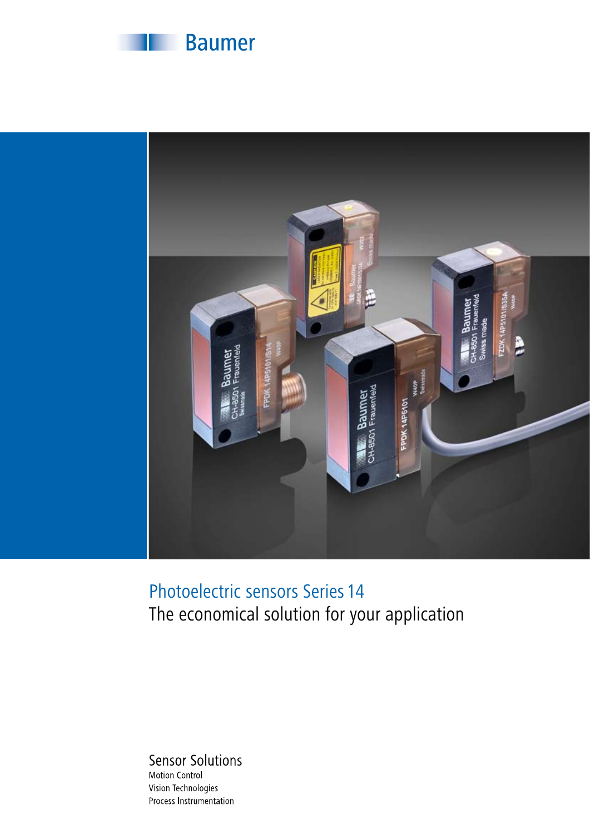



## Photoelectric sensors Series 14 The economical solution for your application

**Sensor Solutions** Motion Control Vision Technologies Process Instrumentation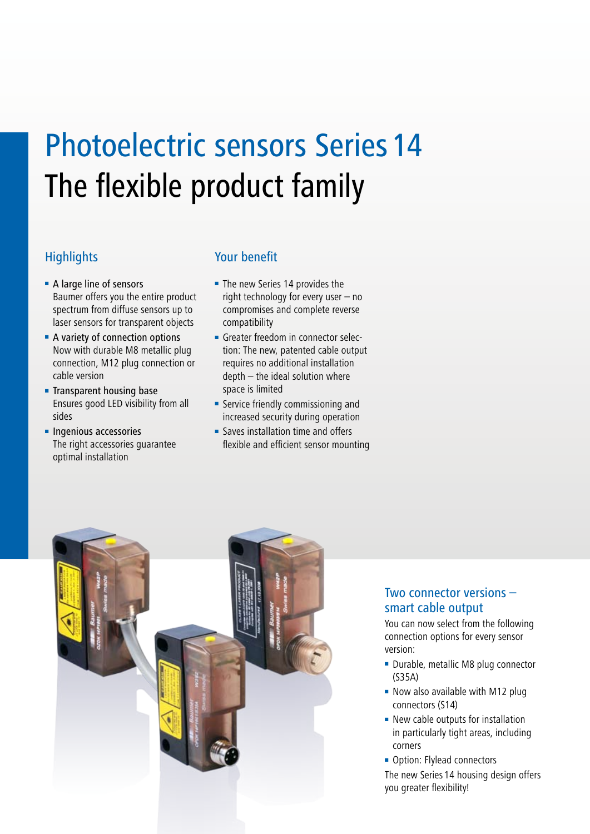# Photoelectric sensors Series 14 The flexible product family

- A large line of sensors Baumer offers you the entire product spectrum from diffuse sensors up to laser sensors for transparent objects
- A variety of connection options Now with durable M8 metallic plug connection, M12 plug connection or cable version
- Transparent housing base Ensures good LED visibility from all sides
- Ingenious accessories The right accessories guarantee optimal installation

#### Highlights Your benefit

- The new Series 14 provides the right technology for every user – no compromises and complete reverse compatibility
- Greater freedom in connector selection: The new, patented cable output requires no additional installation depth – the ideal solution where space is limited
- Service friendly commissioning and increased security during operation
- Saves installation time and offers flexible and efficient sensor mounting



#### Two connector versions – smart cable output

You can now select from the following connection options for every sensor version:

- Durable, metallic M8 plug connector (S35A)
- Now also available with M12 plug connectors (S14)
- New cable outputs for installation in particularly tight areas, including corners
- Option: Flylead connectors The new Series 14 housing design offers you greater flexibility!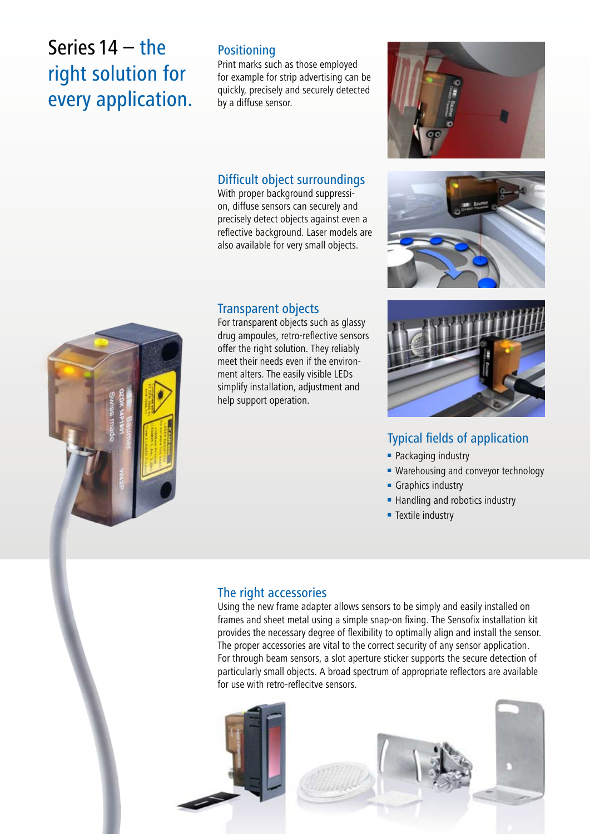# Series 14 – the right solution for every application.

#### **Positioning**

Print marks such as those employed for example for strip advertising can be quickly, precisely and securely detected by a diffuse sensor.

#### Difficult object surroundings

With proper background suppression, diffuse sensors can securely and precisely detect objects against even a reflective background. Laser models are also available for very small objects.

#### Transparent objects

For transparent objects such as glassy drug ampoules, retro-reflective sensors offer the right solution. They reliably meet their needs even if the environment alters. The easily visible LEDs simplify installation, adjustment and help support operation.







### Typical fields of application

- Packaging industry
- Warehousing and conveyor technology
- Graphics industry
- Handling and robotics industry
- Textile industry

#### The right accessories

Using the new frame adapter allows sensors to be simply and easily installed on frames and sheet metal using a simple snap-on fixing. The Sensofix installation kit provides the necessary degree of flexibility to optimally align and install the sensor. The proper accessories are vital to the correct security of any sensor application. For through beam sensors, a slot aperture sticker supports the secure detection of particularly small objects. A broad spectrum of appropriate reflectors are available for use with retro-reflecitve sensors.